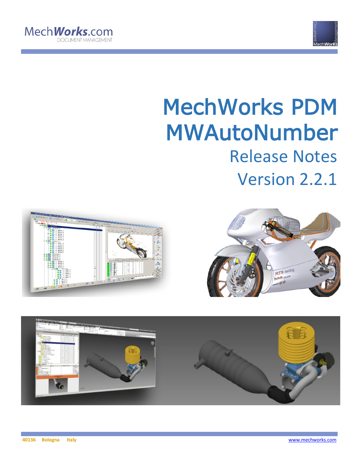



# MechWorks PDM MWAutoNumber Release Notes Version 2.2.1





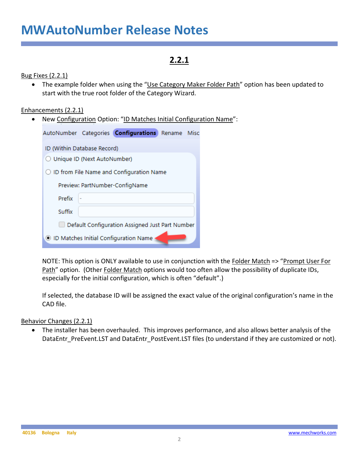### **2.2.1**

Bug Fixes (2.2.1)

• The example folder when using the "Use Category Maker Folder Path" option has been updated to start with the true root folder of the Category Wizard.

#### Enhancements (2.2.1)

• New Configuration Option: "ID Matches Initial Configuration Name":

|                                                 |                                            | AutoNumber Categories <b>Configurations</b> Rename Misc |  |  |  |  |  |
|-------------------------------------------------|--------------------------------------------|---------------------------------------------------------|--|--|--|--|--|
| ID (Within Database Record)                     |                                            |                                                         |  |  |  |  |  |
| ◯ Unique ID (Next AutoNumber)                   |                                            |                                                         |  |  |  |  |  |
|                                                 | ◯ ID from File Name and Configuration Name |                                                         |  |  |  |  |  |
|                                                 |                                            | Preview: PartNumber-ConfigName                          |  |  |  |  |  |
| Prefix                                          |                                            |                                                         |  |  |  |  |  |
| Suffix                                          |                                            |                                                         |  |  |  |  |  |
| Default Configuration Assigned Just Part Number |                                            |                                                         |  |  |  |  |  |
|                                                 |                                            | ID Matches Initial Configuration Name                   |  |  |  |  |  |

NOTE: This option is ONLY available to use in conjunction with the Folder Match => "Prompt User For Path" option. (Other Folder Match options would too often allow the possibility of duplicate IDs, especially for the initial configuration, which is often "default".)

If selected, the database ID will be assigned the exact value of the original configuration's name in the CAD file.

#### Behavior Changes (2.2.1)

• The installer has been overhauled. This improves performance, and also allows better analysis of the DataEntr\_PreEvent.LST and DataEntr\_PostEvent.LST files (to understand if they are customized or not).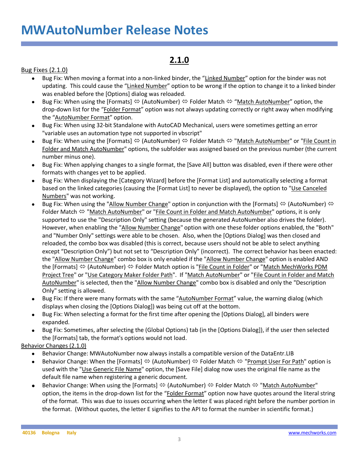### **2.1.0**

#### Bug Fixes (2.1.0)

- Bug Fix: When moving a format into a non-linked binder, the "Linked Number" option for the binder was not updating. This could cause the "Linked Number" option to be wrong if the option to change it to a linked binder was enabled before the [Options] dialog was reloaded.
- Bug Fix: When using the [Formats]  $\Leftrightarrow$  (AutoNumber)  $\Leftrightarrow$  Folder Match  $\Leftrightarrow$  "Match AutoNumber" option, the drop-down list for the "Folder Format" option was not always updating correctly or right away when modifying the "AutoNumber Format" option.
- Bug Fix: When using 32-bit Standalone with AutoCAD Mechanical, users were sometimes getting an error "variable uses an automation type not supported in vbscript"
- Bug Fix: When using the [Formats]  $\Leftrightarrow$  (AutoNumber)  $\Leftrightarrow$  Folder Match  $\Leftrightarrow$  "Match AutoNumber" or "File Count in Folder and Match AutoNumber" options, the subfolder was assigned based on the previous number (the current number minus one).
- Bug Fix: When applying changes to a single format, the [Save All] button was disabled, even if there were other formats with changes yet to be applied.
- Bug Fix: When displaying the [Category Wizard] before the [Format List] and automatically selecting a format based on the linked categories (causing the [Format List] to never be displayed), the option to "Use Canceled Numbers" was not working.
- Bug Fix: When using the "Allow Number Change" option in conjunction with the [Formats]  $\Leftrightarrow$  (AutoNumber)  $\Leftrightarrow$ Folder Match  $\Leftrightarrow$  "Match AutoNumber" or "File Count in Folder and Match AutoNumber" options, it is only supported to use the "Description Only" setting (because the generated AutoNumber also drives the folder). However, when enabling the "Allow Number Change" option with one these folder options enabled, the "Both" and "Number Only" settings were able to be chosen. Also, when the [Options Dialog] was then closed and reloaded, the combo box was disabled (this is correct, because users should not be able to select anything except "Description Only") but not set to "Description Only" (incorrect). The correct behavior has been enacted: the "Allow Number Change" combo box is only enabled if the "Allow Number Change" option is enabled AND the [Formats]  $\Leftrightarrow$  (AutoNumber)  $\Leftrightarrow$  Folder Match option is "File Count in Folder" or "Match MechWorks PDM Project Tree" or "Use Category Maker Folder Path". If "Match AutoNumber" or "File Count in Folder and Match AutoNumber" is selected, then the "Allow Number Change" combo box is disabled and only the "Description Only" setting is allowed.
- Bug Fix: If there were many formats with the same "AutoNumber Format" value, the warning dialog (which displays when closing the [Options Dialog]) was being cut off at the bottom.
- Bug Fix: When selecting a format for the first time after opening the [Options Dialog], all binders were expanded.
- Bug Fix: Sometimes, after selecting the (Global Options) tab (in the [Options Dialog]), if the user then selected the [Formats] tab, the format's options would not load.

Behavior Changes (2.1.0)

- Behavior Change: MWAutoNumber now always installs a compatible version of the DataEntr.LIB
- Behavior Change: When the [Formats]  $\Leftrightarrow$  (AutoNumber)  $\Leftrightarrow$  Folder Match  $\Leftrightarrow$  "Prompt User For Path" option is used with the "Use Generic File Name" option, the [Save File] dialog now uses the original file name as the default file name when registering a generic document.
- Behavior Change: When using the [Formats]  $\Leftrightarrow$  (AutoNumber)  $\Leftrightarrow$  Folder Match  $\Leftrightarrow$  "Match AutoNumber" option, the items in the drop-down list for the "Folder Format" option now have quotes around the literal string of the format. This was due to issues occurring when the letter E was placed right before the number portion in the format. (Without quotes, the letter E signifies to the API to format the number in scientific format.)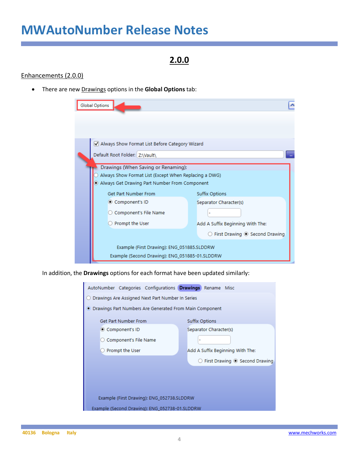### **2.0.0**

#### Enhancements (2.0.0)

• There are new Drawings options in the **Global Options** tab:

| <b>Global Options</b>                                 |                                                        |
|-------------------------------------------------------|--------------------------------------------------------|
|                                                       |                                                        |
|                                                       |                                                        |
| Always Show Format List Before Category Wizard        |                                                        |
| Default Root Folder: Z:\Vault\                        |                                                        |
|                                                       |                                                        |
| Drawings (When Saving or Renaming):                   |                                                        |
| Always Show Format List (Except When Replacing a DWG) |                                                        |
| Always Get Drawing Part Number From Component         |                                                        |
| Get Part Number From                                  | <b>Suffix Options</b>                                  |
| © Component's ID                                      | Separator Character(s)                                 |
| Component's File Name                                 |                                                        |
| Prompt the User                                       | Add A Suffix Beginning With The:                       |
|                                                       | $\bigcirc$ First Drawing $\circledcirc$ Second Drawing |
| Example (First Drawing): ENG_051885.SLDDRW            |                                                        |
| Example (Second Drawing): ENG_051885-01.SLDDRW        |                                                        |

In addition, the **Drawings** options for each format have been updated similarly:

| AutoNumber Categories Configurations Drawings Rename Misc |                                  |  |  |  |  |  |  |  |  |
|-----------------------------------------------------------|----------------------------------|--|--|--|--|--|--|--|--|
| Drawings Are Assigned Next Part Number In Series          |                                  |  |  |  |  |  |  |  |  |
| ● Drawings Part Numbers Are Generated From Main Component |                                  |  |  |  |  |  |  |  |  |
| Get Part Number From                                      | <b>Suffix Options</b>            |  |  |  |  |  |  |  |  |
| © Component's ID                                          | Separator Character(s)           |  |  |  |  |  |  |  |  |
| Component's File Name                                     |                                  |  |  |  |  |  |  |  |  |
| Prompt the User                                           | Add A Suffix Beginning With The: |  |  |  |  |  |  |  |  |
|                                                           | First Drawing @ Second Drawing   |  |  |  |  |  |  |  |  |
|                                                           |                                  |  |  |  |  |  |  |  |  |
|                                                           |                                  |  |  |  |  |  |  |  |  |
|                                                           |                                  |  |  |  |  |  |  |  |  |
| Example (First Drawing): ENG_052738.SLDDRW                |                                  |  |  |  |  |  |  |  |  |
| Example (Second Drawing): ENG 052738-01.SLDDRW            |                                  |  |  |  |  |  |  |  |  |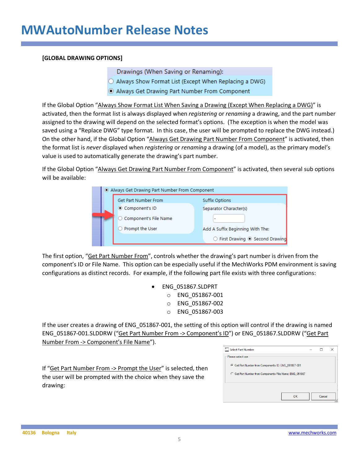#### **[GLOBAL DRAWING OPTIONS]**

Drawings (When Saving or Renaming):

- O Always Show Format List (Except When Replacing a DWG)
- Always Get Drawing Part Number From Component

If the Global Option "Always Show Format List When Saving a Drawing (Except When Replacing a DWG)" is activated, then the format list is always displayed when *registering* or *renaming* a drawing, and the part number assigned to the drawing will depend on the selected format's options. (The exception is when the model was saved using a "Replace DWG" type format. In this case, the user will be prompted to replace the DWG instead.) On the other hand, if the Global Option "Always Get Drawing Part Number From Component" is activated, then the format list is *never* displayed when *registering* or *renaming* a drawing (of a model), as the primary model's value is used to automatically generate the drawing's part number.

If the Global Option "Always Get Drawing Part Number From Component" is activated, then several sub options will be available:

|  | Always Get Drawing Part Number From Component |                                  |  |  |  |  |  |  |  |  |
|--|-----------------------------------------------|----------------------------------|--|--|--|--|--|--|--|--|
|  | <b>Suffix Options</b>                         |                                  |  |  |  |  |  |  |  |  |
|  | © Component's ID                              | Separator Character(s)           |  |  |  |  |  |  |  |  |
|  | ○ Component's File Name                       | ۰                                |  |  |  |  |  |  |  |  |
|  | Prompt the User                               | Add A Suffix Beginning With The: |  |  |  |  |  |  |  |  |
|  |                                               | ○ First Drawing ◉ Second Drawing |  |  |  |  |  |  |  |  |

The first option, "Get Part Number From", controls whether the drawing's part number is driven from the component's ID or File Name. This option can be especially useful if the MechWorks PDM environment is saving configurations as distinct records. For example, if the following part file exists with three configurations:

> • ENG\_051867.SLDPRT o ENG\_051867-001 o ENG\_051867-002 o ENG\_051867-003

If the user creates a drawing of ENG\_051867-001, the setting of this option will control if the drawing is named ENG\_051867-001.SLDDRW ("Get Part Number From -> Component's ID") or ENG\_051867.SLDDRW ("Get Part Number From -> Component's File Name").

If "Get Part Number From -> Prompt the User" is selected, then the user will be prompted with the choice when they save the drawing:

| Select Part Number                                       |        | × |
|----------------------------------------------------------|--------|---|
| Please select one                                        |        |   |
| G Get Part Number from Component's ID: ENG_051867-001    |        |   |
| G Get Part Number from Component's File Name: ENG_051867 |        |   |
|                                                          |        |   |
|                                                          |        |   |
|                                                          |        |   |
| OK                                                       | Cancel |   |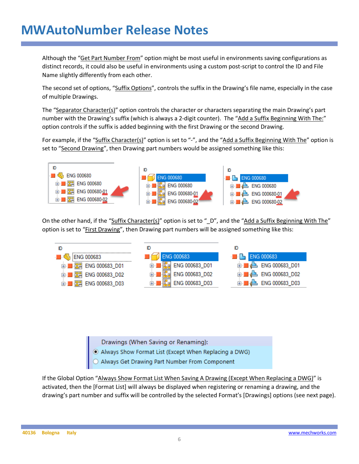Although the "Get Part Number From" option might be most useful in environments saving configurations as distinct records, it could also be useful in environments using a custom post-script to control the ID and File Name slightly differently from each other.

The second set of options, "Suffix Options", controls the suffix in the Drawing's file name, especially in the case of multiple Drawings.

The "Separator Character(s)" option controls the character or characters separating the main Drawing's part number with the Drawing's suffix (which is always a 2-digit counter). The "Add a Suffix Beginning With The:" option controls if the suffix is added beginning with the first Drawing or the second Drawing.

For example, if the "Suffix Character(s)" option is set to "-", and the "Add a Suffix Beginning With The" option is set to "Second Drawing", then Drawing part numbers would be assigned something like this:



On the other hand, if the "Suffix Character(s)" option is set to "\_D", and the "Add a Suffix Beginning With The" option is set to "First Drawing", then Drawing part numbers will be assigned something like this:



Drawings (When Saving or Renaming):

- Always Show Format List (Except When Replacing a DWG)<br>• Always Get Drawing Part Number From Component
- 

If the Global Option "Always Show Format List When Saving A Drawing (Except When Replacing a DWG)" is activated, then the [Format List] will always be displayed when registering or renaming a drawing, and the drawing's part number and suffix will be controlled by the selected Format's [Drawings] options (see next page).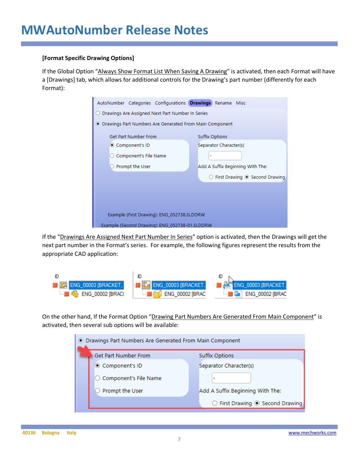#### **[Format Specific Drawing Options]**

If the Global Option "Always Show Format List When Saving A Drawing" is activated, then each Format will have a [Drawings] tab, which allows for additional controls for the Drawing's part number (differently for each Format):

| AutoNumber Categories Configurations Drawings Rename Misc |  |                       |                        |                                                    |  |  |  |  |  |
|-----------------------------------------------------------|--|-----------------------|------------------------|----------------------------------------------------|--|--|--|--|--|
| Drawings Are Assigned Next Part Number In Series          |  |                       |                        |                                                    |  |  |  |  |  |
| • Drawings Part Numbers Are Generated From Main Component |  |                       |                        |                                                    |  |  |  |  |  |
| Get Part Number From                                      |  | <b>Suffix Options</b> |                        |                                                    |  |  |  |  |  |
| ◎ Component's ID                                          |  |                       | Separator Character(s) |                                                    |  |  |  |  |  |
| ○ Component's File Name                                   |  |                       |                        |                                                    |  |  |  |  |  |
| Prompt the User                                           |  |                       |                        | Add A Suffix Beginning With The:                   |  |  |  |  |  |
|                                                           |  |                       |                        | $\bigcirc$ First Drawing $\bigcirc$ Second Drawing |  |  |  |  |  |
|                                                           |  |                       |                        |                                                    |  |  |  |  |  |
|                                                           |  |                       |                        |                                                    |  |  |  |  |  |
|                                                           |  |                       |                        |                                                    |  |  |  |  |  |
| Example (First Drawing): ENG_052738.SLDDRW                |  |                       |                        |                                                    |  |  |  |  |  |
| Example (Second Drawing): ENG 052738-01.SLDDRW            |  |                       |                        |                                                    |  |  |  |  |  |

If the "Drawings Are Assigned Next Part Number In Series" option is activated, then the Drawings will get the next part number in the Format's series. For example, the following figures represent the results from the appropriate CAD application:



On the other hand, If the Format Option "Drawing Part Numbers Are Generated From Main Component" is activated, then several sub options will be available:

| • Drawings Part Numbers Are Generated From Main Component |                                  |
|-----------------------------------------------------------|----------------------------------|
| Get Part Number From                                      | <b>Suffix Options</b>            |
| Component's ID                                            | Separator Character(s)           |
| ○ Component's File Name                                   |                                  |
| Prompt the User                                           | Add A Suffix Beginning With The: |
|                                                           | ○ First Drawing ◉ Second Drawing |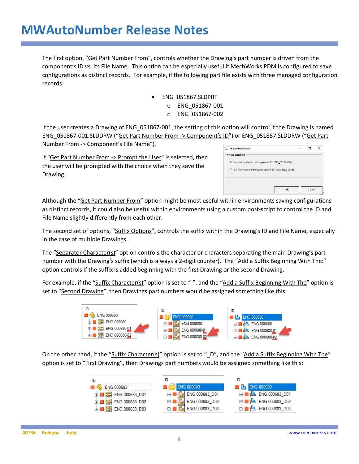The first option, "Get Part Number From", controls whether the Drawing's part number is driven from the component's ID vs. its File Name. This option can be especially useful if MechWorks PDM is configured to save configurations as distinct records. For example, if the following part file exists with three managed configuration records:

- ENG\_051867.SLDPRT
	- o ENG\_051867-001
	- o ENG\_051867-002

If the user creates a Drawing of ENG\_051867-001, the setting of this option will control if the Drawing is named ENG\_051867-001.SLDDRW ("Get Part Number From -> Component's ID") or ENG\_051867.SLDDRW ("Get Part Number From -> Component's File Name").

If "Get Part Number From -> Prompt the User" is selected, then the user will be prompted with the choice when they save the Drawing:

| Select Part Number                                       |    |        | × |
|----------------------------------------------------------|----|--------|---|
| Please selectione                                        |    |        |   |
| G Get Part Number from Component's ID: ENG_051867-001    |    |        |   |
| C Get Part Number from Component's File Name: ENG_051867 |    |        |   |
|                                                          |    |        |   |
|                                                          | OK | Cancel |   |

Although the "Get Part Number From" option might be most useful within environments saving configurations as distinct records, it could also be useful within environments using a custom post-script to control the ID and File Name slightly differently from each other.

The second set of options, "Suffix Options", controls the suffix within the Drawing's ID and File Name, especially in the case of multiple Drawings.

The "Separator Character(s)" option controls the character or characters separating the main Drawing's part number with the Drawing's suffix (which is always a 2-digit counter). The "Add a Suffix Beginning With The:" option controls if the suffix is added beginning with the first Drawing or the second Drawing.

For example, if the "Suffix Character(s)" option is set to "-", and the "Add a Suffix Beginning With The" option is set to "Second Drawing", then Drawings part numbers would be assigned something like this:



On the other hand, if the "Suffix Character(s)" option is set to "\_D", and the "Add a Suffix Beginning With The" option is set to "First Drawing", then Drawings part numbers would be assigned something like this:

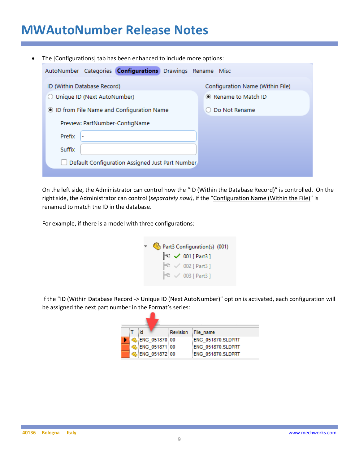| $\bullet$ |               |                               | The [Configurations] tab has been enhanced to include more options: |  |                                  |
|-----------|---------------|-------------------------------|---------------------------------------------------------------------|--|----------------------------------|
|           |               |                               | AutoNumber Categories <b>Configurations</b> Drawings Rename Misc    |  |                                  |
|           |               | ID (Within Database Record)   |                                                                     |  | Configuration Name (Within File) |
|           |               | ○ Unique ID (Next AutoNumber) |                                                                     |  | • Rename to Match ID             |
|           |               |                               | ID from File Name and Configuration Name                            |  | Do Not Rename                    |
|           |               |                               | Preview: PartNumber-ConfigName                                      |  |                                  |
|           | <b>Prefix</b> |                               |                                                                     |  |                                  |
|           | Suffix        |                               |                                                                     |  |                                  |
|           |               |                               | Default Configuration Assigned Just Part Number                     |  |                                  |
|           |               |                               |                                                                     |  |                                  |

On the left side, the Administrator can control how the "ID (Within the Database Record)" is controlled. On the right side, the Administrator can control (*separately now)*, if the "Configuration Name (Within the File)" is renamed to match the ID in the database.

For example, if there is a model with three configurations:

| Part3 Configuration(s) (001) |  |  |                                                                                                                     |  |  |  |  |
|------------------------------|--|--|---------------------------------------------------------------------------------------------------------------------|--|--|--|--|
|                              |  |  |                                                                                                                     |  |  |  |  |
|                              |  |  |                                                                                                                     |  |  |  |  |
|                              |  |  |                                                                                                                     |  |  |  |  |
|                              |  |  | $\approx$ 001 [ Part3 ]<br>$\mathbb{P}^{\mathbb{O}} \vee 002$ [ Part3 ]<br>$\mathbb{P}^{\Box}$ $\vee$ 003 [ Part3 ] |  |  |  |  |

If the "ID (Within Database Record -> Unique ID (Next AutoNumber)" option is activated, each configuration will be assigned the next part number in the Format's series:

| ₹d |                         | Revision File name |
|----|-------------------------|--------------------|
|    | <b>G. ENG 051870 00</b> | ENG 051870.SLDPRT  |
|    | 6 ENG 051871 00         | ENG 051870.SLDPRT  |
|    | SENG 051872 00          | ENG 051870.SLDPRT  |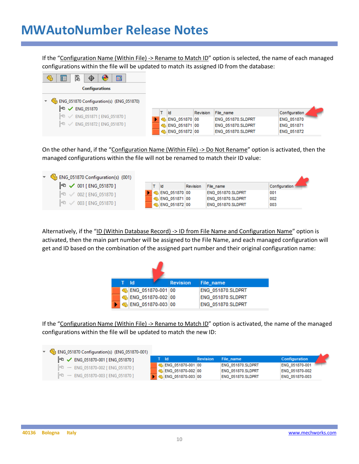If the "Configuration Name (Within File) -> Rename to Match ID" option is selected, the name of each managed configurations within the file will be updated to match its assigned ID from the database:

| b<br>畐<br>瞦<br>$\bullet$<br>$\Phi$                                  |                        |                       |                   |
|---------------------------------------------------------------------|------------------------|-----------------------|-------------------|
| <b>Configurations</b>                                               |                        |                       |                   |
| ENG_051870 Configuration(s) (ENG_051870)<br>⊧ਾ<br><b>ENG 051870</b> |                        |                       |                   |
| F <sup>Q</sup> / ENG_051871 [ ENG_051870 ]                          | ∃ld                    | Revision<br>File_name | Configuration     |
|                                                                     | <b>B</b> ENG 051870 00 | ENG 051870.SLDPRT     | <b>ENG 051870</b> |
| $F0$ $\checkmark$ ENG_051872 [ENG_051870 ]                          | BENG 051871 00         | ENG_051870.SLDPRT     | <b>ENG 051871</b> |
|                                                                     | BENG_051872 00         | ENG 051870.SLDPRT     | ENG_051872        |

On the other hand, if the "Configuration Name (Within File) -> Do Not Rename" option is activated, then the managed configurations within the file will not be renamed to match their ID value:

| $\sqrt{\frac{1}{2}}$ ENG_051870 Configuration(s) (001) |     |                                            |                   |               |  |
|--------------------------------------------------------|-----|--------------------------------------------|-------------------|---------------|--|
| F < 001 [ ENG_051870 ]                                 | ∃ld | Revision                                   | File name         | Configuration |  |
| $\mathbb{P}^{\mathbb{G}}$ $\vee$ 002 [ ENG_051870 ]    |     | $\frac{1}{2}$ C <sub>2</sub> ENG 051870 00 | ENG 051870.SLDPRT | :001          |  |
|                                                        |     | SENG 051871 00                             | ENG 051870.SLDPRT | 002           |  |
| $\mathbb{P}^{\mathbb{C}}$ $\vee$ 003 [ENG_051870 ]     |     | SENG 051872 00                             | ENG 051870.SLDPRT | 003           |  |

Alternatively, if the "ID (Within Database Record) -> ID from File Name and Configuration Name" option is activated, then the main part number will be assigned to the File Name, and each managed configuration will get and ID based on the combination of the assigned part number and their original configuration name:

|  | i Idl |                       | <b>Revision</b> | File name         |
|--|-------|-----------------------|-----------------|-------------------|
|  |       | SENG 051870-001 00    |                 | ENG 051870.SLDPRT |
|  |       | Co. ENG_051870-002 00 |                 | ENG_051870.SLDPRT |
|  |       | SENG 051870-003 00    |                 | ENG 051870.SLDPRT |

If the "Configuration Name (Within File) -> Rename to Match ID" option is activated, the name of the managed configurations within the file will be updated to match the new ID:

| ▼ G ENG_051870 Configuration(s) (ENG_051870-001)                    |                                            |                 |                                        |                                  |
|---------------------------------------------------------------------|--------------------------------------------|-----------------|----------------------------------------|----------------------------------|
| $\mathbb{F}^{\mathbb{G}}$ $\checkmark$ ENG_051870-001 [ENG_051870 ] | ात                                         | <b>Revision</b> | File name                              | <b>Configuration</b>             |
| $F0$ - ENG 051870-002 [ ENG 051870 ]                                | B ENG 051870-001 00<br>BiENG 051870-002 00 |                 | ENG 051870.SLDPRT<br>ENG 051870.SLDPRT | ENG 051870-001<br>ENG 051870-002 |
| $F0$ - ENG 051870-003 [ENG 051870 ]                                 | BENG_051870-003 00                         |                 | ENG 051870.SLDPRT                      | ENG 051870-003                   |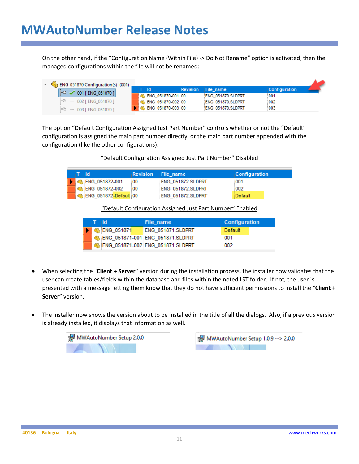On the other hand, if the "Configuration Name (Within File) -> Do Not Rename" option is activated, then the managed configurations within the file will not be renamed:

| B ENG_051870 Configuration(s) (001) |  |                     |                 |                   |                      |
|-------------------------------------|--|---------------------|-----------------|-------------------|----------------------|
| $F^a \smile 001$ [ ENG_051870 ]     |  | - Ild               | <b>Revision</b> | File name         | <b>Configuration</b> |
|                                     |  | ENG 051870-001 00   |                 | ENG 051870.SLDPRT | 001                  |
| $F0$ - 002 [ ENG 051870 ]           |  | ENG 051870-002 00   |                 | ENG 051870.SLDPRT | 002                  |
| $F_0 - 003$ [ ENG 051870 ]          |  | b ENG 051870-003 00 |                 | ENG 051870.SLDPRT | 003                  |

The option "Default Configuration Assigned Just Part Number" controls whether or not the "Default" configuration is assigned the main part number directly, or the main part number appended with the configuration (like the other configurations).

| "Default Configuration Assigned Just Part Number" Disabled |
|------------------------------------------------------------|
|------------------------------------------------------------|

| iT ildi |                                       | <b>Revision</b> File name |                   | <b>Configuration</b> |
|---------|---------------------------------------|---------------------------|-------------------|----------------------|
|         | <b>4 4 ENG 051872-001</b>             | -00                       | ENG 051872.SLDPRT | 001                  |
|         | SHENG 051872-002                      | - 00                      | ENG 051872.SLDPRT | 002                  |
|         | <sup>६</sup> @ु ENG_051872-Default 00 |                           | ENG 051872.SLDPRT | Default              |

"Default Configuration Assigned Just Part Number" Enabled

| HT Hd. |                                        | File name                          | <b>Configuration</b> |
|--------|----------------------------------------|------------------------------------|----------------------|
|        | $\blacktriangleright$ $\ll$ ENG 051871 | ENG 051871.SLDPRT                  | ∃Default             |
|        |                                        | SENG_051871-001 ENG_051871.SLDPRT  | :001                 |
|        |                                        | 6 ENG_051871-002 ENG_051871.SLDPRT | 002                  |

- When selecting the "**Client + Server**" version during the installation process, the installer now validates that the user can create tables/fields within the database and files within the noted LST folder. If not, the user is presented with a message letting them know that they do not have sufficient permissions to install the "**Client + Server**" version.
- The installer now shows the version about to be installed in the title of all the dialogs. Also, if a previous version is already installed, it displays that information as well.



MWAutoNumber Setup 1.0.9 --> 2.0.0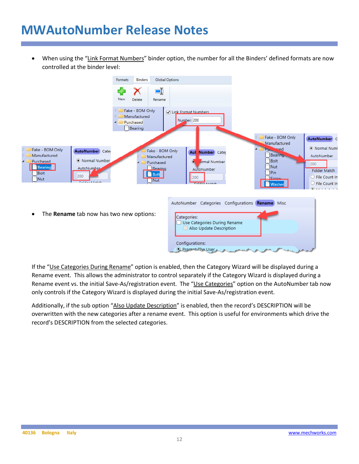• When using the "Link Format Numbers" binder option, the number for all the Binders' defined formats are now controlled at the binder level:



If the "Use Categories During Rename" option is enabled, then the Category Wizard will be displayed during a Rename event. This allows the administrator to control separately if the Category Wizard is displayed during a Rename event vs. the initial Save-As/registration event. The "Use Categories" option on the AutoNumber tab now only controls if the Category Wizard is displayed during the initial Save-As/registration event.

Additionally, if the sub option "Also Update Description" is enabled, then the record's DESCRIPTION will be overwritten with the new categories after a rename event. This option is useful for environments which drive the record's DESCRIPTION from the selected categories.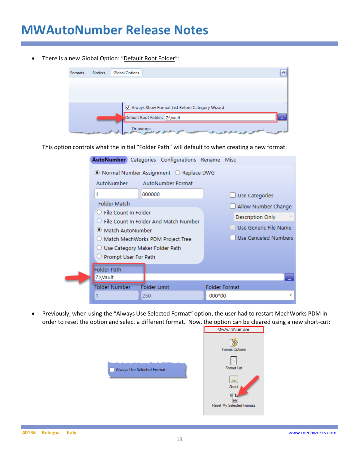There is a new Global Option: "Default Root Folder":



This option controls what the initial "Folder Path" will default to when creating a new format:

|                                  | AutoNumber Categories Configurations Rename Misc                   |        |                       |
|----------------------------------|--------------------------------------------------------------------|--------|-----------------------|
|                                  | $\bullet$ Normal Number Assignment $\circlearrowright$ Replace DWG |        |                       |
| AutoNumber                       | <b>AutoNumber Format</b>                                           |        |                       |
| 1                                | 000000                                                             |        | Use Categories        |
| <b>Folder Match</b>              |                                                                    |        | Allow Number Change   |
| $\bigcirc$ File Count In Folder  | ○ File Count In Folder And Match Number                            |        | Description Only      |
| ● Match AutoNumber               |                                                                    |        | Use Generic File Name |
|                                  | O Match MechWorks PDM Project Tree                                 |        | Use Canceled Numbers  |
| ○ Use Category Maker Folder Path |                                                                    |        |                       |
| $\cup$ Prompt User For Path      |                                                                    |        |                       |
| <b>Folder Path</b><br>Z:\Vault   |                                                                    |        |                       |
| <b>Folder Number</b>             | <b>Folder Limit</b>                                                |        | <b>Folder Format</b>  |
|                                  | 250                                                                | 000*00 | v                     |

• Previously, when using the "Always Use Selected Format" option, the user had to restart MechWorks PDM in order to reset the option and select a different format. Now, the option can be cleared using a new short-cut:<br>
I MwAutoNumber



ß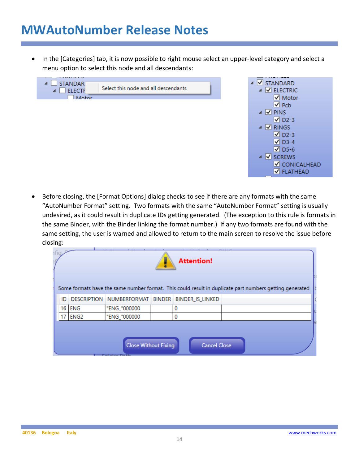In the [Categories] tab, it is now possible to right mouse select an upper-level category and select a menu option to select this node and all descendants:





• Before closing, the [Format Options] dialog checks to see if there are any formats with the same "AutoNumber Format" setting. Two formats with the same "AutoNumber Format" setting is usually undesired, as it could result in duplicate IDs getting generated. (The exception to this rule is formats in the same Binder, with the Binder linking the format number.) If any two formats are found with the same setting, the user is warned and allowed to return to the main screen to resolve the issue before closing:

| ıfic |                                                    |              |  | <b>Attention!</b>                                |                                                                                                         |  |  |  |
|------|----------------------------------------------------|--------------|--|--------------------------------------------------|---------------------------------------------------------------------------------------------------------|--|--|--|
|      |                                                    |              |  |                                                  |                                                                                                         |  |  |  |
|      |                                                    |              |  |                                                  | Some formats have the same number format. This could result in duplicate part numbers getting generated |  |  |  |
| ID.  |                                                    |              |  | DESCRIPTION NUMBERFORMAT BINDER BINDER IS LINKED |                                                                                                         |  |  |  |
|      | 16 ENG                                             | "ENG_"000000 |  | 0                                                |                                                                                                         |  |  |  |
|      | ENG <sub>2</sub>                                   | "ENG_"000000 |  |                                                  |                                                                                                         |  |  |  |
|      |                                                    |              |  |                                                  |                                                                                                         |  |  |  |
|      |                                                    |              |  |                                                  |                                                                                                         |  |  |  |
|      | <b>Close Without Fixing</b><br><b>Cancel Close</b> |              |  |                                                  |                                                                                                         |  |  |  |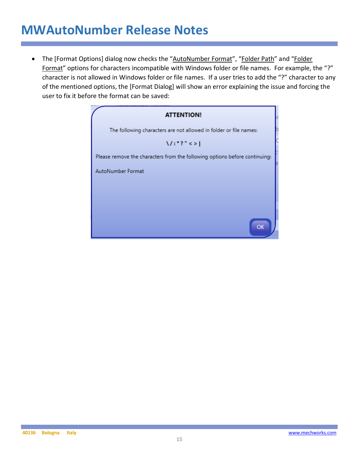• The [Format Options] dialog now checks the "AutoNumber Format", "Folder Path" and "Folder Format" options for characters incompatible with Windows folder or file names. For example, the "?" character is not allowed in Windows folder or file names. If a user tries to add the "?" character to any of the mentioned options, the [Format Dialog] will show an error explaining the issue and forcing the user to fix it before the format can be saved:

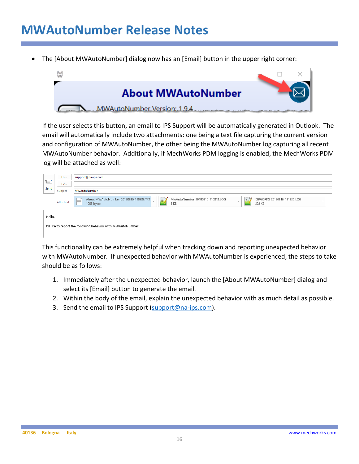• The [About MWAutoNumber] dialog now has an [Email] button in the upper right corner:



If the user selects this button, an email to IPS Support will be automatically generated in Outlook. The email will automatically include two attachments: one being a text file capturing the current version and configuration of MWAutoNumber, the other being the MWAutoNumber log capturing all recent MWAutoNumber behavior. Additionally, if MechWorks PDM logging is enabled, the MechWorks PDM log will be attached as well:

|        | To                                                           | support@na-ips.com                                                                                                                                                                      |  |  |  |  |  |  |
|--------|--------------------------------------------------------------|-----------------------------------------------------------------------------------------------------------------------------------------------------------------------------------------|--|--|--|--|--|--|
| $E =$  | Cc                                                           |                                                                                                                                                                                         |  |  |  |  |  |  |
| Send   | Subject                                                      | MWAutoNumber                                                                                                                                                                            |  |  |  |  |  |  |
|        | Attached                                                     | MwAutoNumber_20190816_110813.LOG<br>DBWORKS_20190816_111330.LOG<br>About MWAutoNumber_20190816_110838.TXT<br>$n_{\star}$<br>$n + 1$<br>$\sim$<br>٠<br>⋿<br>1 KB<br>302 KB<br>1005 bytes |  |  |  |  |  |  |
| Hello, |                                                              |                                                                                                                                                                                         |  |  |  |  |  |  |
|        | I'd like to report the following behavior with MWAutoNumber: |                                                                                                                                                                                         |  |  |  |  |  |  |

This functionality can be extremely helpful when tracking down and reporting unexpected behavior with MWAutoNumber. If unexpected behavior with MWAutoNumber is experienced, the steps to take should be as follows:

- 1. Immediately after the unexpected behavior, launch the [About MWAutoNumber] dialog and select its [Email] button to generate the email.
- 2. Within the body of the email, explain the unexpected behavior with as much detail as possible.
- 3. Send the email to IPS Support (support@na-ips.com).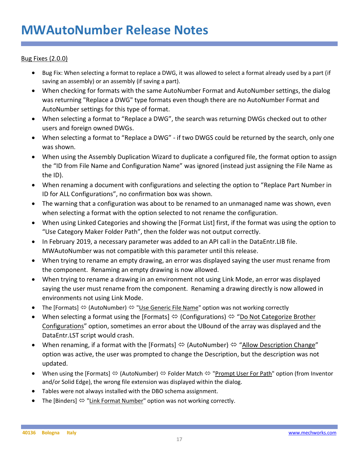#### Bug Fixes (2.0.0)

- Bug Fix: When selecting a format to replace a DWG, it was allowed to select a format already used by a part (if saving an assembly) or an assembly (if saving a part).
- When checking for formats with the same AutoNumber Format and AutoNumber settings, the dialog was returning "Replace a DWG" type formats even though there are no AutoNumber Format and AutoNumber settings for this type of format.
- When selecting a format to "Replace a DWG", the search was returning DWGs checked out to other users and foreign owned DWGs.
- When selecting a format to "Replace a DWG" if two DWGS could be returned by the search, only one was shown.
- When using the Assembly Duplication Wizard to duplicate a configured file, the format option to assign the "ID from File Name and Configuration Name" was ignored (instead just assigning the File Name as the ID).
- When renaming a document with configurations and selecting the option to "Replace Part Number in ID for ALL Configurations", no confirmation box was shown.
- The warning that a configuration was about to be renamed to an unmanaged name was shown, even when selecting a format with the option selected to not rename the configuration.
- When using Linked Categories and showing the [Format List] first, if the format was using the option to "Use Category Maker Folder Path", then the folder was not output correctly.
- In February 2019, a necessary parameter was added to an API call in the DataEntr.LIB file. MWAutoNumber was not compatible with this parameter until this release.
- When trying to rename an empty drawing, an error was displayed saying the user must rename from the component. Renaming an empty drawing is now allowed.
- When trying to rename a drawing in an environment not using Link Mode, an error was displayed saying the user must rename from the component. Renaming a drawing directly is now allowed in environments not using Link Mode.
- The [Formats]  $\Leftrightarrow$  (AutoNumber)  $\Leftrightarrow$  "Use Generic File Name" option was not working correctly
- When selecting a format using the [Formats]  $\Leftrightarrow$  (Configurations)  $\Leftrightarrow$  "Do Not Categorize Brother Configurations" option, sometimes an error about the UBound of the array was displayed and the DataEntr.LST script would crash.
- When renaming, if a format with the [Formats]  $\Leftrightarrow$  (AutoNumber)  $\Leftrightarrow$  "Allow Description Change" option was active, the user was prompted to change the Description, but the description was not updated.
- When using the [Formats]  $\Leftrightarrow$  (AutoNumber)  $\Leftrightarrow$  Folder Match  $\Leftrightarrow$  "Prompt User For Path" option (from Inventor and/or Solid Edge), the wrong file extension was displayed within the dialog.
- Tables were not always installed with the DBO schema assignment.
- The [Binders]  $\Leftrightarrow$  "Link Format Number" option was not working correctly.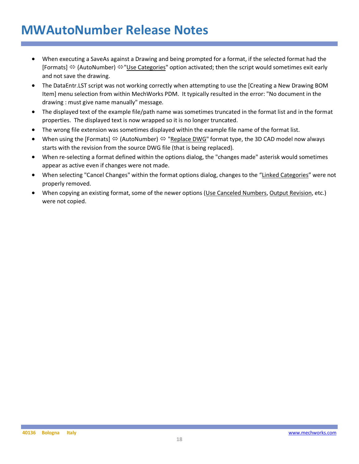- When executing a SaveAs against a Drawing and being prompted for a format, if the selected format had the [Formats]  $\Leftrightarrow$  (AutoNumber)  $\Leftrightarrow$  "Use Categories" option activated; then the script would sometimes exit early and not save the drawing.
- The DataEntr.LST script was not working correctly when attempting to use the [Creating a New Drawing BOM Item] menu selection from within MechWorks PDM. It typically resulted in the error: "No document in the drawing : must give name manually" message.
- The displayed text of the example file/path name was sometimes truncated in the format list and in the format properties. The displayed text is now wrapped so it is no longer truncated.
- The wrong file extension was sometimes displayed within the example file name of the format list.
- When using the [Formats]  $\Leftrightarrow$  (AutoNumber)  $\Leftrightarrow$  "Replace DWG" format type, the 3D CAD model now always starts with the revision from the source DWG file (that is being replaced).
- When re-selecting a format defined within the options dialog, the "changes made" asterisk would sometimes appear as active even if changes were not made.
- When selecting "Cancel Changes" within the format options dialog, changes to the "Linked Categories" were not properly removed.
- When copying an existing format, some of the newer options (Use Canceled Numbers, Output Revision, etc.) were not copied.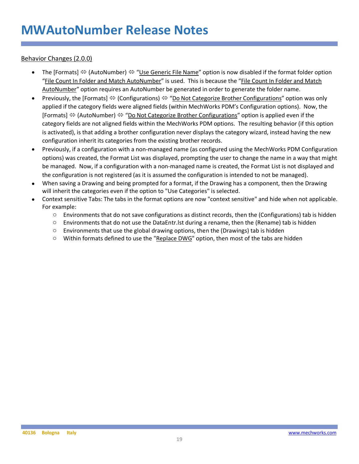Behavior Changes (2.0.0)

- The [Formats]  $\Leftrightarrow$  (AutoNumber)  $\Leftrightarrow$  "Use Generic File Name" option is now disabled if the format folder option "File Count In Folder and Match AutoNumber" is used. This is because the "File Count In Folder and Match AutoNumber" option requires an AutoNumber be generated in order to generate the folder name.
- Previously, the [Formats]  $\Leftrightarrow$  (Configurations)  $\Leftrightarrow$  "Do Not Categorize Brother Configurations" option was only applied if the category fields were aligned fields (within MechWorks PDM's Configuration options). Now, the [Formats]  $\Leftrightarrow$  (AutoNumber)  $\Leftrightarrow$  "Do Not Categorize Brother Configurations" option is applied even if the category fields are not aligned fields within the MechWorks PDM options. The resulting behavior (if this option is activated), is that adding a brother configuration never displays the category wizard, instead having the new configuration inherit its categories from the existing brother records.
- Previously, if a configuration with a non-managed name (as configured using the MechWorks PDM Configuration options) was created, the Format List was displayed, prompting the user to change the name in a way that might be managed. Now, if a configuration with a non-managed name is created, the Format List is not displayed and the configuration is not registered (as it is assumed the configuration is intended to not be managed).
- When saving a Drawing and being prompted for a format, if the Drawing has a component, then the Drawing will inherit the categories even if the option to "Use Categories" is selected.
- Context sensitive Tabs: The tabs in the format options are now "context sensitive" and hide when not applicable. For example:
	- o Environments that do not save configurations as distinct records, then the (Configurations) tab is hidden
	- $\circ$  Environments that do not use the DataEntr. Ist during a rename, then the (Rename) tab is hidden
	- $\circ$  Environments that use the global drawing options, then the (Drawings) tab is hidden
	- $\circ$  Within formats defined to use the "Replace DWG" option, then most of the tabs are hidden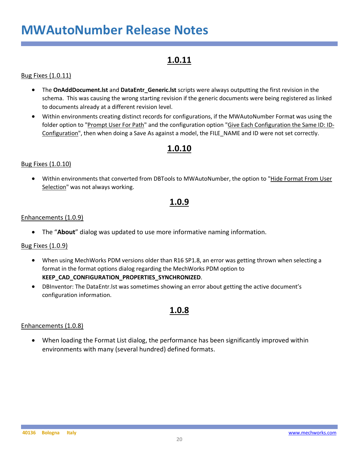### **1.0.11**

#### Bug Fixes (1.0.11)

- The **OnAddDocument.lst** and **DataEntr\_Generic.lst** scripts were always outputting the first revision in the schema. This was causing the wrong starting revision if the generic documents were being registered as linked to documents already at a different revision level.
- Within environments creating distinct records for configurations, if the MWAutoNumber Format was using the folder option to "Prompt User For Path" and the configuration option "Give Each Configuration the Same ID: ID-Configuration", then when doing a Save As against a model, the FILE\_NAME and ID were not set correctly.

### **1.0.10**

#### Bug Fixes (1.0.10)

• Within environments that converted from DBTools to MWAutoNumber, the option to "Hide Format From User Selection" was not always working.

### **1.0.9**

#### Enhancements (1.0.9)

• The "**About**" dialog was updated to use more informative naming information.

#### Bug Fixes (1.0.9)

- When using MechWorks PDM versions older than R16 SP1.8, an error was getting thrown when selecting a format in the format options dialog regarding the MechWorks PDM option to **KEEP\_CAD\_CONFIGURATION\_PROPERTIES\_SYNCHRONIZED**.
- DBInventor: The DataEntr.lst was sometimes showing an error about getting the active document's configuration information.

#### **1.0.8**

#### Enhancements (1.0.8)

• When loading the Format List dialog, the performance has been significantly improved within environments with many (several hundred) defined formats.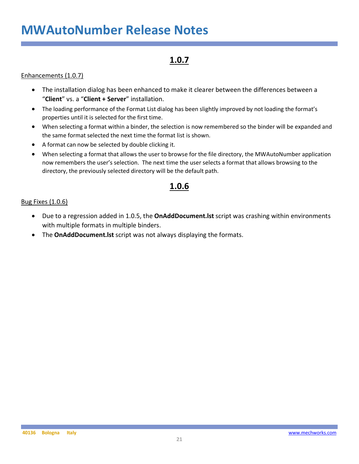### **1.0.7**

#### Enhancements (1.0.7)

- The installation dialog has been enhanced to make it clearer between the differences between a "**Client**" vs. a "**Client + Server**" installation.
- The loading performance of the Format List dialog has been slightly improved by not loading the format's properties until it is selected for the first time.
- When selecting a format within a binder, the selection is now remembered so the binder will be expanded and the same format selected the next time the format list is shown.
- A format can now be selected by double clicking it.
- When selecting a format that allows the user to browse for the file directory, the MWAutoNumber application now remembers the user's selection. The next time the user selects a format that allows browsing to the directory, the previously selected directory will be the default path.

### **1.0.6**

#### Bug Fixes (1.0.6)

- Due to a regression added in 1.0.5, the **OnAddDocument.lst** script was crashing within environments with multiple formats in multiple binders.
- The **OnAddDocument.lst** script was not always displaying the formats.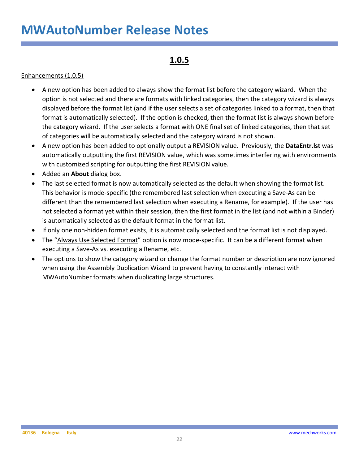### **1.0.5**

#### Enhancements (1.0.5)

- A new option has been added to always show the format list before the category wizard. When the option is not selected and there are formats with linked categories, then the category wizard is always displayed before the format list (and if the user selects a set of categories linked to a format, then that format is automatically selected). If the option is checked, then the format list is always shown before the category wizard. If the user selects a format with ONE final set of linked categories, then that set of categories will be automatically selected and the category wizard is not shown.
- A new option has been added to optionally output a REVISION value. Previously, the **DataEntr.lst** was automatically outputting the first REVISION value, which was sometimes interfering with environments with customized scripting for outputting the first REVISION value.
- Added an **About** dialog box.
- The last selected format is now automatically selected as the default when showing the format list. This behavior is mode-specific (the remembered last selection when executing a Save-As can be different than the remembered last selection when executing a Rename, for example). If the user has not selected a format yet within their session, then the first format in the list (and not within a Binder) is automatically selected as the default format in the format list.
- If only one non-hidden format exists, it is automatically selected and the format list is not displayed.
- The "Always Use Selected Format" option is now mode-specific. It can be a different format when executing a Save-As vs. executing a Rename, etc.
- The options to show the category wizard or change the format number or description are now ignored when using the Assembly Duplication Wizard to prevent having to constantly interact with MWAutoNumber formats when duplicating large structures.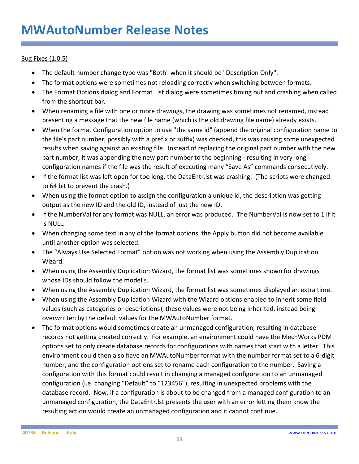#### Bug Fixes (1.0.5)

- The default number change type was "Both" when it should be "Description Only".
- The format options were sometimes not reloading correctly when switching between formats.
- The Format Options dialog and Format List dialog were sometimes timing out and crashing when called from the shortcut bar.
- When renaming a file with one or more drawings, the drawing was sometimes not renamed, instead presenting a message that the new file name (which is the old drawing file name) already exists.
- When the format Configuration option to use "the same id" (append the original configuration name to the file's part number, possibly with a prefix or suffix) was checked, this was causing some unexpected results when saving against an existing file. Instead of replacing the original part number with the new part number, it was appending the new part number to the beginning - resulting in very long configuration names if the file was the result of executing many "Save As" commands consecutively.
- If the format list was left open for too long, the DataEntr.lst was crashing. (The scripts were changed to 64 bit to prevent the crash.)
- When using the format option to assign the configuration a unique id, the description was getting output as the new ID and the old ID, instead of just the new ID.
- If the NumberVal for any format was NULL, an error was produced. The NumberVal is now set to 1 if it is NULL.
- When changing some text in any of the format options, the Apply button did not become available until another option was selected.
- The "Always Use Selected Format" option was not working when using the Assembly Duplication Wizard.
- When using the Assembly Duplication Wizard, the format list was sometimes shown for drawings whose IDs should follow the model's.
- When using the Assembly Duplication Wizard, the format list was sometimes displayed an extra time.
- When using the Assembly Duplication Wizard with the Wizard options enabled to inherit some field values (such as categories or descriptions), these values were not being inherited, instead being overwritten by the default values for the MWAutoNumber format.
- The format options would sometimes create an unmanaged configuration, resulting in database records not getting created correctly. For example, an environment could have the MechWorks PDM options set to only create database records for configurations with names that start with a letter. This environment could then also have an MWAutoNumber format with the number format set to a 6-digit number, and the configuration options set to rename each configuration to the number. Saving a configuration with this format could result in changing a managed configuration to an unmanaged configuration (i.e. changing "Default" to "123456"), resulting in unexpected problems with the database record. Now, if a configuration is about to be changed from a managed configuration to an unmanaged configuration, the DataEntr.lst presents the user with an error letting them know the resulting action would create an unmanaged configuration and it cannot continue.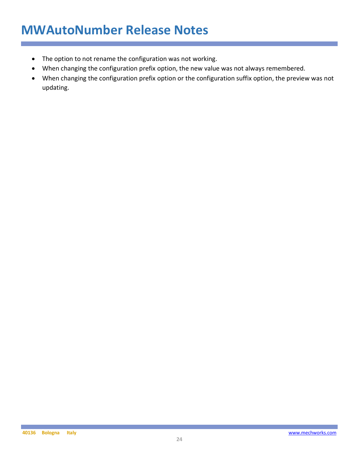- The option to not rename the configuration was not working.
- When changing the configuration prefix option, the new value was not always remembered.
- When changing the configuration prefix option or the configuration suffix option, the preview was not updating.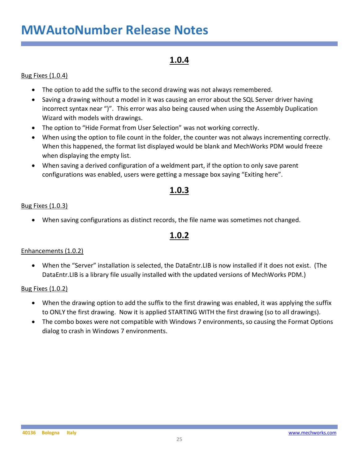### **1.0.4**

#### Bug Fixes (1.0.4)

- The option to add the suffix to the second drawing was not always remembered.
- Saving a drawing without a model in it was causing an error about the SQL Server driver having incorrect syntax near ")". This error was also being caused when using the Assembly Duplication Wizard with models with drawings.
- The option to "Hide Format from User Selection" was not working correctly.
- When using the option to file count in the folder, the counter was not always incrementing correctly. When this happened, the format list displayed would be blank and MechWorks PDM would freeze when displaying the empty list.
- When saving a derived configuration of a weldment part, if the option to only save parent configurations was enabled, users were getting a message box saying "Exiting here".

### **1.0.3**

#### Bug Fixes (1.0.3)

• When saving configurations as distinct records, the file name was sometimes not changed.

### **1.0.2**

#### Enhancements (1.0.2)

• When the "Server" installation is selected, the DataEntr.LIB is now installed if it does not exist. (The DataEntr.LIB is a library file usually installed with the updated versions of MechWorks PDM.)

#### Bug Fixes (1.0.2)

- When the drawing option to add the suffix to the first drawing was enabled, it was applying the suffix to ONLY the first drawing. Now it is applied STARTING WITH the first drawing (so to all drawings).
- The combo boxes were not compatible with Windows 7 environments, so causing the Format Options dialog to crash in Windows 7 environments.